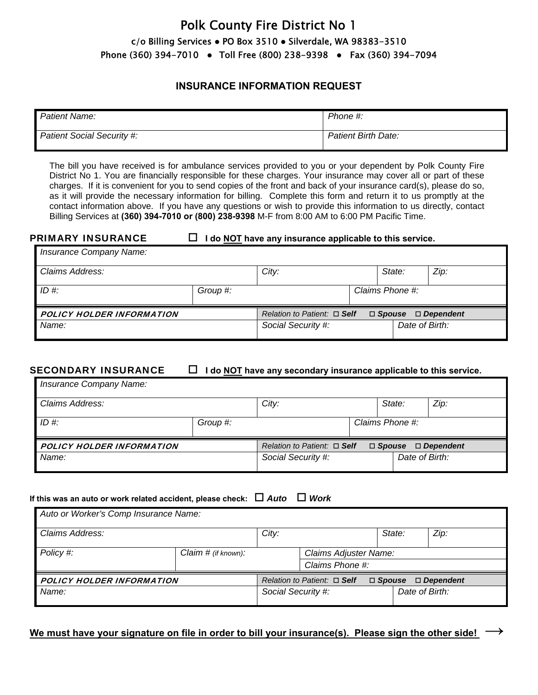# Polk County Fire District No 1  $c$ /o Billing Services  $\bullet$  PO Box 3510  $\bullet$  Silverdale, WA 98383-3510 Phone (360) 394-7010 • Toll Free (800) 238-9398 • Fax (360) 394-7094

### **INSURANCE INFORMATION REQUEST**

| Patient Name:                     | Phone #:                   |
|-----------------------------------|----------------------------|
| <b>Patient Social Security #:</b> | <b>Patient Birth Date:</b> |

The bill you have received is for ambulance services provided to you or your dependent by Polk County Fire District No 1. You are financially responsible for these charges. Your insurance may cover all or part of these charges. If it is convenient for you to send copies of the front and back of your insurance card(s), please do so, as it will provide the necessary information for billing. Complete this form and return it to us promptly at the contact information above. If you have any questions or wish to provide this information to us directly, contact Billing Services at **(360) 394-7010 or (800) 238-9398** M-F from 8:00 AM to 6:00 PM Pacific Time.

### **PRIMARY INSURANCE**  $\Box$  **I** do NOT have any insurance applicable to this service.

| Insurance Company Name:   |          |                                                                       |  |                 |      |  |
|---------------------------|----------|-----------------------------------------------------------------------|--|-----------------|------|--|
| Claims Address:           |          | City:                                                                 |  | State:          | Zip: |  |
| $ID \#$                   | Group #: |                                                                       |  | Claims Phone #: |      |  |
| POLICY HOLDER INFORMATION |          | Relation to Patient: $\Box$ Self<br>$\Box$ Spouse<br>$\Box$ Dependent |  |                 |      |  |
| Name:                     |          | Social Security #:                                                    |  | Date of Birth:  |      |  |

**SECONDARY INSURANCE □ I do <u>NOT</u> have any secondary insurance applicable to this service.** 

| Insurance Company Name:   |          |                                  |                                |                 |      |  |  |
|---------------------------|----------|----------------------------------|--------------------------------|-----------------|------|--|--|
| Claims Address:           |          | City:                            |                                | State:          | Zip: |  |  |
| $ID \#$                   | Group #: |                                  |                                | Claims Phone #: |      |  |  |
| POLICY HOLDER INFORMATION |          | Relation to Patient: $\Box$ Self | $\Box$ Spouse $\Box$ Dependent |                 |      |  |  |
| Name:                     |          | Social Security #:               |                                | Date of Birth:  |      |  |  |

### If this was an auto or work related accident, please check:  $\Box$  Auto  $\Box$  Work

| Auto or Worker's Comp Insurance Name: |                        |                                                                       |                 |  |                |      |  |
|---------------------------------------|------------------------|-----------------------------------------------------------------------|-----------------|--|----------------|------|--|
| Claims Address:                       |                        | City:                                                                 |                 |  | State:         | Zip: |  |
| Policy #:                             | Claim $\#$ (if known): | Claims Adjuster Name:                                                 |                 |  |                |      |  |
|                                       |                        |                                                                       | Claims Phone #: |  |                |      |  |
| POLICY HOLDER INFORMATION             |                        | Relation to Patient: $\Box$ Self<br>$\Box$ Spouse<br>$\Box$ Dependent |                 |  |                |      |  |
| Name:                                 |                        | Social Security #:                                                    |                 |  | Date of Birth: |      |  |
|                                       |                        |                                                                       |                 |  |                |      |  |

## **We must have your signature on file in order to bill your insurance(s). Please sign the other side! →**